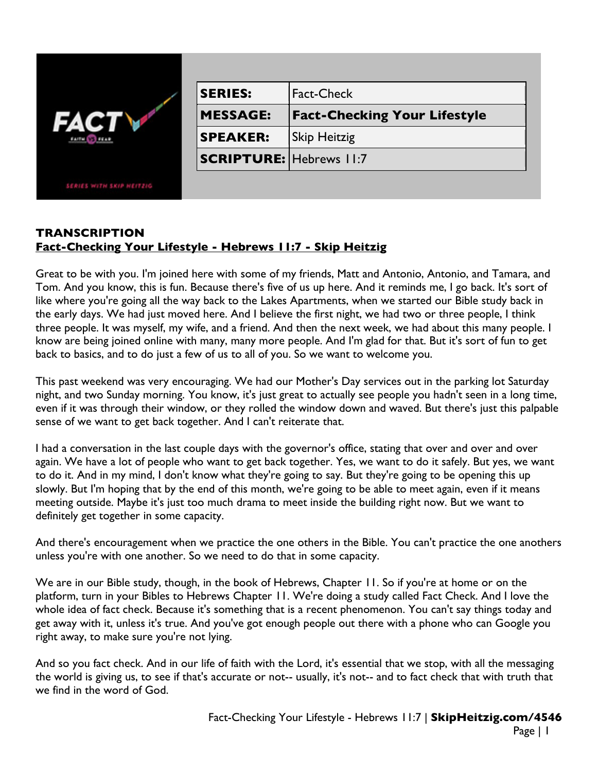|                          | <b>SERIES:</b>                 | <b>Fact-Check</b>                   |
|--------------------------|--------------------------------|-------------------------------------|
|                          | <b>MESSAGE:</b>                | <b>Fact-Checking Your Lifestyle</b> |
|                          | <b>SPEAKER:</b>                | <b>Skip Heitzig</b>                 |
|                          | <b>SCRIPTURE: Hebrews 11:7</b> |                                     |
| SERIES WITH SKIP HEITZIG |                                |                                     |

## **TRANSCRIPTION Fact-Checking Your Lifestyle - Hebrews 11:7 - Skip Heitzig**

Great to be with you. I'm joined here with some of my friends, Matt and Antonio, Antonio, and Tamara, and Tom. And you know, this is fun. Because there's five of us up here. And it reminds me, I go back. It's sort of like where you're going all the way back to the Lakes Apartments, when we started our Bible study back in the early days. We had just moved here. And I believe the first night, we had two or three people, I think three people. It was myself, my wife, and a friend. And then the next week, we had about this many people. I know are being joined online with many, many more people. And I'm glad for that. But it's sort of fun to get back to basics, and to do just a few of us to all of you. So we want to welcome you.

This past weekend was very encouraging. We had our Mother's Day services out in the parking lot Saturday night, and two Sunday morning. You know, it's just great to actually see people you hadn't seen in a long time, even if it was through their window, or they rolled the window down and waved. But there's just this palpable sense of we want to get back together. And I can't reiterate that.

I had a conversation in the last couple days with the governor's office, stating that over and over and over again. We have a lot of people who want to get back together. Yes, we want to do it safely. But yes, we want to do it. And in my mind, I don't know what they're going to say. But they're going to be opening this up slowly. But I'm hoping that by the end of this month, we're going to be able to meet again, even if it means meeting outside. Maybe it's just too much drama to meet inside the building right now. But we want to definitely get together in some capacity.

And there's encouragement when we practice the one others in the Bible. You can't practice the one anothers unless you're with one another. So we need to do that in some capacity.

We are in our Bible study, though, in the book of Hebrews, Chapter 11. So if you're at home or on the platform, turn in your Bibles to Hebrews Chapter 11. We're doing a study called Fact Check. And I love the whole idea of fact check. Because it's something that is a recent phenomenon. You can't say things today and get away with it, unless it's true. And you've got enough people out there with a phone who can Google you right away, to make sure you're not lying.

And so you fact check. And in our life of faith with the Lord, it's essential that we stop, with all the messaging the world is giving us, to see if that's accurate or not-- usually, it's not-- and to fact check that with truth that we find in the word of God.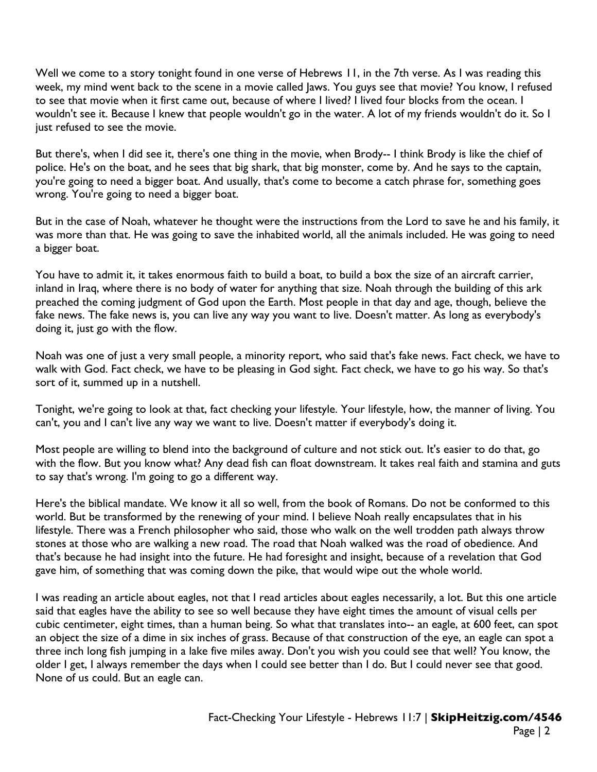Well we come to a story tonight found in one verse of Hebrews 11, in the 7th verse. As I was reading this week, my mind went back to the scene in a movie called Jaws. You guys see that movie? You know, I refused to see that movie when it first came out, because of where I lived? I lived four blocks from the ocean. I wouldn't see it. Because I knew that people wouldn't go in the water. A lot of my friends wouldn't do it. So I just refused to see the movie.

But there's, when I did see it, there's one thing in the movie, when Brody-- I think Brody is like the chief of police. He's on the boat, and he sees that big shark, that big monster, come by. And he says to the captain, you're going to need a bigger boat. And usually, that's come to become a catch phrase for, something goes wrong. You're going to need a bigger boat.

But in the case of Noah, whatever he thought were the instructions from the Lord to save he and his family, it was more than that. He was going to save the inhabited world, all the animals included. He was going to need a bigger boat.

You have to admit it, it takes enormous faith to build a boat, to build a box the size of an aircraft carrier, inland in Iraq, where there is no body of water for anything that size. Noah through the building of this ark preached the coming judgment of God upon the Earth. Most people in that day and age, though, believe the fake news. The fake news is, you can live any way you want to live. Doesn't matter. As long as everybody's doing it, just go with the flow.

Noah was one of just a very small people, a minority report, who said that's fake news. Fact check, we have to walk with God. Fact check, we have to be pleasing in God sight. Fact check, we have to go his way. So that's sort of it, summed up in a nutshell.

Tonight, we're going to look at that, fact checking your lifestyle. Your lifestyle, how, the manner of living. You can't, you and I can't live any way we want to live. Doesn't matter if everybody's doing it.

Most people are willing to blend into the background of culture and not stick out. It's easier to do that, go with the flow. But you know what? Any dead fish can float downstream. It takes real faith and stamina and guts to say that's wrong. I'm going to go a different way.

Here's the biblical mandate. We know it all so well, from the book of Romans. Do not be conformed to this world. But be transformed by the renewing of your mind. I believe Noah really encapsulates that in his lifestyle. There was a French philosopher who said, those who walk on the well trodden path always throw stones at those who are walking a new road. The road that Noah walked was the road of obedience. And that's because he had insight into the future. He had foresight and insight, because of a revelation that God gave him, of something that was coming down the pike, that would wipe out the whole world.

I was reading an article about eagles, not that I read articles about eagles necessarily, a lot. But this one article said that eagles have the ability to see so well because they have eight times the amount of visual cells per cubic centimeter, eight times, than a human being. So what that translates into-- an eagle, at 600 feet, can spot an object the size of a dime in six inches of grass. Because of that construction of the eye, an eagle can spot a three inch long fish jumping in a lake five miles away. Don't you wish you could see that well? You know, the older I get, I always remember the days when I could see better than I do. But I could never see that good. None of us could. But an eagle can.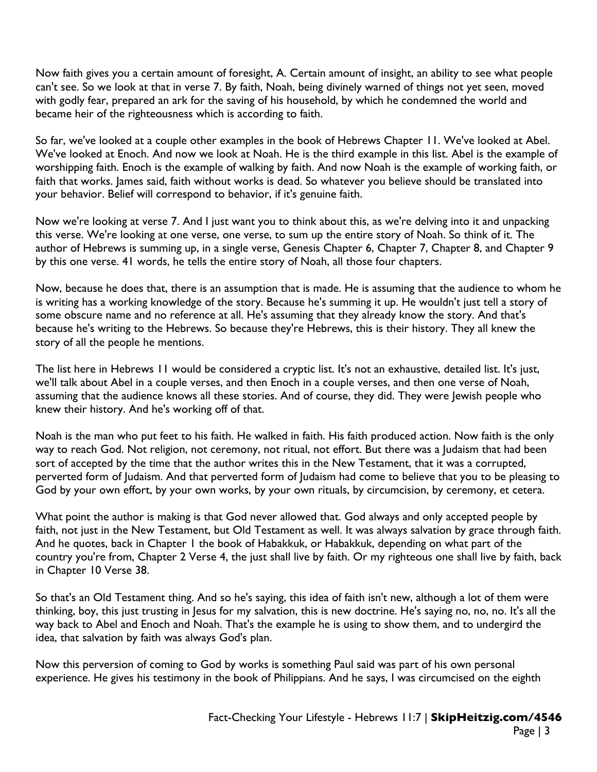Now faith gives you a certain amount of foresight, A. Certain amount of insight, an ability to see what people can't see. So we look at that in verse 7. By faith, Noah, being divinely warned of things not yet seen, moved with godly fear, prepared an ark for the saving of his household, by which he condemned the world and became heir of the righteousness which is according to faith.

So far, we've looked at a couple other examples in the book of Hebrews Chapter 11. We've looked at Abel. We've looked at Enoch. And now we look at Noah. He is the third example in this list. Abel is the example of worshipping faith. Enoch is the example of walking by faith. And now Noah is the example of working faith, or faith that works. James said, faith without works is dead. So whatever you believe should be translated into your behavior. Belief will correspond to behavior, if it's genuine faith.

Now we're looking at verse 7. And I just want you to think about this, as we're delving into it and unpacking this verse. We're looking at one verse, one verse, to sum up the entire story of Noah. So think of it. The author of Hebrews is summing up, in a single verse, Genesis Chapter 6, Chapter 7, Chapter 8, and Chapter 9 by this one verse. 41 words, he tells the entire story of Noah, all those four chapters.

Now, because he does that, there is an assumption that is made. He is assuming that the audience to whom he is writing has a working knowledge of the story. Because he's summing it up. He wouldn't just tell a story of some obscure name and no reference at all. He's assuming that they already know the story. And that's because he's writing to the Hebrews. So because they're Hebrews, this is their history. They all knew the story of all the people he mentions.

The list here in Hebrews 11 would be considered a cryptic list. It's not an exhaustive, detailed list. It's just, we'll talk about Abel in a couple verses, and then Enoch in a couple verses, and then one verse of Noah, assuming that the audience knows all these stories. And of course, they did. They were Jewish people who knew their history. And he's working off of that.

Noah is the man who put feet to his faith. He walked in faith. His faith produced action. Now faith is the only way to reach God. Not religion, not ceremony, not ritual, not effort. But there was a Judaism that had been sort of accepted by the time that the author writes this in the New Testament, that it was a corrupted, perverted form of Judaism. And that perverted form of Judaism had come to believe that you to be pleasing to God by your own effort, by your own works, by your own rituals, by circumcision, by ceremony, et cetera.

What point the author is making is that God never allowed that. God always and only accepted people by faith, not just in the New Testament, but Old Testament as well. It was always salvation by grace through faith. And he quotes, back in Chapter 1 the book of Habakkuk, or Habakkuk, depending on what part of the country you're from, Chapter 2 Verse 4, the just shall live by faith. Or my righteous one shall live by faith, back in Chapter 10 Verse 38.

So that's an Old Testament thing. And so he's saying, this idea of faith isn't new, although a lot of them were thinking, boy, this just trusting in Jesus for my salvation, this is new doctrine. He's saying no, no, no. It's all the way back to Abel and Enoch and Noah. That's the example he is using to show them, and to undergird the idea, that salvation by faith was always God's plan.

Now this perversion of coming to God by works is something Paul said was part of his own personal experience. He gives his testimony in the book of Philippians. And he says, I was circumcised on the eighth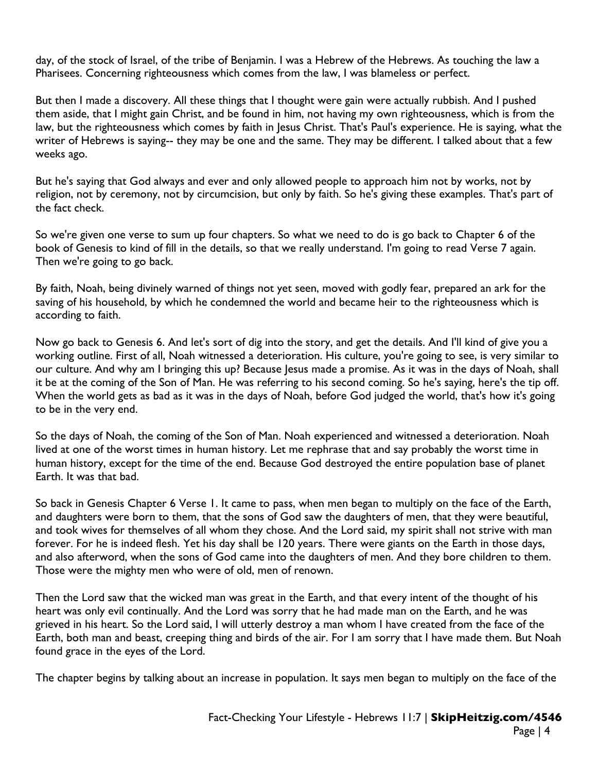day, of the stock of Israel, of the tribe of Benjamin. I was a Hebrew of the Hebrews. As touching the law a Pharisees. Concerning righteousness which comes from the law, I was blameless or perfect.

But then I made a discovery. All these things that I thought were gain were actually rubbish. And I pushed them aside, that I might gain Christ, and be found in him, not having my own righteousness, which is from the law, but the righteousness which comes by faith in Jesus Christ. That's Paul's experience. He is saying, what the writer of Hebrews is saying-- they may be one and the same. They may be different. I talked about that a few weeks ago.

But he's saying that God always and ever and only allowed people to approach him not by works, not by religion, not by ceremony, not by circumcision, but only by faith. So he's giving these examples. That's part of the fact check.

So we're given one verse to sum up four chapters. So what we need to do is go back to Chapter 6 of the book of Genesis to kind of fill in the details, so that we really understand. I'm going to read Verse 7 again. Then we're going to go back.

By faith, Noah, being divinely warned of things not yet seen, moved with godly fear, prepared an ark for the saving of his household, by which he condemned the world and became heir to the righteousness which is according to faith.

Now go back to Genesis 6. And let's sort of dig into the story, and get the details. And I'll kind of give you a working outline. First of all, Noah witnessed a deterioration. His culture, you're going to see, is very similar to our culture. And why am I bringing this up? Because Jesus made a promise. As it was in the days of Noah, shall it be at the coming of the Son of Man. He was referring to his second coming. So he's saying, here's the tip off. When the world gets as bad as it was in the days of Noah, before God judged the world, that's how it's going to be in the very end.

So the days of Noah, the coming of the Son of Man. Noah experienced and witnessed a deterioration. Noah lived at one of the worst times in human history. Let me rephrase that and say probably the worst time in human history, except for the time of the end. Because God destroyed the entire population base of planet Earth. It was that bad.

So back in Genesis Chapter 6 Verse 1. It came to pass, when men began to multiply on the face of the Earth, and daughters were born to them, that the sons of God saw the daughters of men, that they were beautiful, and took wives for themselves of all whom they chose. And the Lord said, my spirit shall not strive with man forever. For he is indeed flesh. Yet his day shall be 120 years. There were giants on the Earth in those days, and also afterword, when the sons of God came into the daughters of men. And they bore children to them. Those were the mighty men who were of old, men of renown.

Then the Lord saw that the wicked man was great in the Earth, and that every intent of the thought of his heart was only evil continually. And the Lord was sorry that he had made man on the Earth, and he was grieved in his heart. So the Lord said, I will utterly destroy a man whom I have created from the face of the Earth, both man and beast, creeping thing and birds of the air. For I am sorry that I have made them. But Noah found grace in the eyes of the Lord.

The chapter begins by talking about an increase in population. It says men began to multiply on the face of the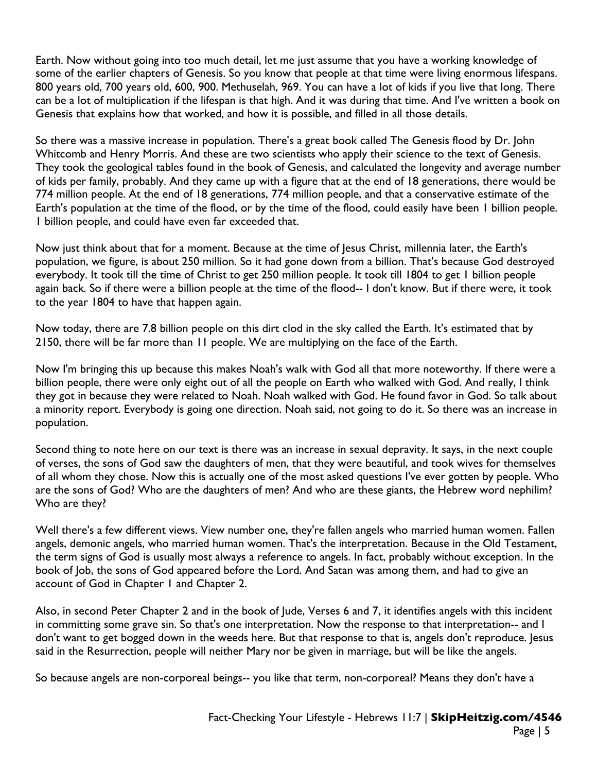Earth. Now without going into too much detail, let me just assume that you have a working knowledge of some of the earlier chapters of Genesis. So you know that people at that time were living enormous lifespans. 800 years old, 700 years old, 600, 900. Methuselah, 969. You can have a lot of kids if you live that long. There can be a lot of multiplication if the lifespan is that high. And it was during that time. And I've written a book on Genesis that explains how that worked, and how it is possible, and filled in all those details.

So there was a massive increase in population. There's a great book called The Genesis flood by Dr. John Whitcomb and Henry Morris. And these are two scientists who apply their science to the text of Genesis. They took the geological tables found in the book of Genesis, and calculated the longevity and average number of kids per family, probably. And they came up with a figure that at the end of 18 generations, there would be 774 million people. At the end of 18 generations, 774 million people, and that a conservative estimate of the Earth's population at the time of the flood, or by the time of the flood, could easily have been 1 billion people. 1 billion people, and could have even far exceeded that.

Now just think about that for a moment. Because at the time of Jesus Christ, millennia later, the Earth's population, we figure, is about 250 million. So it had gone down from a billion. That's because God destroyed everybody. It took till the time of Christ to get 250 million people. It took till 1804 to get 1 billion people again back. So if there were a billion people at the time of the flood-- I don't know. But if there were, it took to the year 1804 to have that happen again.

Now today, there are 7.8 billion people on this dirt clod in the sky called the Earth. It's estimated that by 2150, there will be far more than 11 people. We are multiplying on the face of the Earth.

Now I'm bringing this up because this makes Noah's walk with God all that more noteworthy. If there were a billion people, there were only eight out of all the people on Earth who walked with God. And really, I think they got in because they were related to Noah. Noah walked with God. He found favor in God. So talk about a minority report. Everybody is going one direction. Noah said, not going to do it. So there was an increase in population.

Second thing to note here on our text is there was an increase in sexual depravity. It says, in the next couple of verses, the sons of God saw the daughters of men, that they were beautiful, and took wives for themselves of all whom they chose. Now this is actually one of the most asked questions I've ever gotten by people. Who are the sons of God? Who are the daughters of men? And who are these giants, the Hebrew word nephilim? Who are they?

Well there's a few different views. View number one, they're fallen angels who married human women. Fallen angels, demonic angels, who married human women. That's the interpretation. Because in the Old Testament, the term signs of God is usually most always a reference to angels. In fact, probably without exception. In the book of Job, the sons of God appeared before the Lord. And Satan was among them, and had to give an account of God in Chapter 1 and Chapter 2.

Also, in second Peter Chapter 2 and in the book of Jude, Verses 6 and 7, it identifies angels with this incident in committing some grave sin. So that's one interpretation. Now the response to that interpretation-- and I don't want to get bogged down in the weeds here. But that response to that is, angels don't reproduce. Jesus said in the Resurrection, people will neither Mary nor be given in marriage, but will be like the angels.

So because angels are non-corporeal beings-- you like that term, non-corporeal? Means they don't have a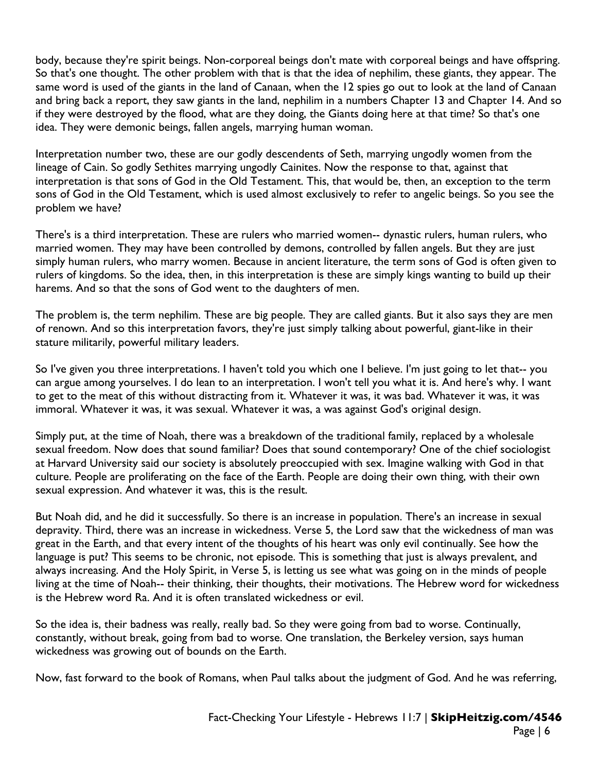body, because they're spirit beings. Non-corporeal beings don't mate with corporeal beings and have offspring. So that's one thought. The other problem with that is that the idea of nephilim, these giants, they appear. The same word is used of the giants in the land of Canaan, when the 12 spies go out to look at the land of Canaan and bring back a report, they saw giants in the land, nephilim in a numbers Chapter 13 and Chapter 14. And so if they were destroyed by the flood, what are they doing, the Giants doing here at that time? So that's one idea. They were demonic beings, fallen angels, marrying human woman.

Interpretation number two, these are our godly descendents of Seth, marrying ungodly women from the lineage of Cain. So godly Sethites marrying ungodly Cainites. Now the response to that, against that interpretation is that sons of God in the Old Testament. This, that would be, then, an exception to the term sons of God in the Old Testament, which is used almost exclusively to refer to angelic beings. So you see the problem we have?

There's is a third interpretation. These are rulers who married women-- dynastic rulers, human rulers, who married women. They may have been controlled by demons, controlled by fallen angels. But they are just simply human rulers, who marry women. Because in ancient literature, the term sons of God is often given to rulers of kingdoms. So the idea, then, in this interpretation is these are simply kings wanting to build up their harems. And so that the sons of God went to the daughters of men.

The problem is, the term nephilim. These are big people. They are called giants. But it also says they are men of renown. And so this interpretation favors, they're just simply talking about powerful, giant-like in their stature militarily, powerful military leaders.

So I've given you three interpretations. I haven't told you which one I believe. I'm just going to let that-- you can argue among yourselves. I do lean to an interpretation. I won't tell you what it is. And here's why. I want to get to the meat of this without distracting from it. Whatever it was, it was bad. Whatever it was, it was immoral. Whatever it was, it was sexual. Whatever it was, a was against God's original design.

Simply put, at the time of Noah, there was a breakdown of the traditional family, replaced by a wholesale sexual freedom. Now does that sound familiar? Does that sound contemporary? One of the chief sociologist at Harvard University said our society is absolutely preoccupied with sex. Imagine walking with God in that culture. People are proliferating on the face of the Earth. People are doing their own thing, with their own sexual expression. And whatever it was, this is the result.

But Noah did, and he did it successfully. So there is an increase in population. There's an increase in sexual depravity. Third, there was an increase in wickedness. Verse 5, the Lord saw that the wickedness of man was great in the Earth, and that every intent of the thoughts of his heart was only evil continually. See how the language is put? This seems to be chronic, not episode. This is something that just is always prevalent, and always increasing. And the Holy Spirit, in Verse 5, is letting us see what was going on in the minds of people living at the time of Noah-- their thinking, their thoughts, their motivations. The Hebrew word for wickedness is the Hebrew word Ra. And it is often translated wickedness or evil.

So the idea is, their badness was really, really bad. So they were going from bad to worse. Continually, constantly, without break, going from bad to worse. One translation, the Berkeley version, says human wickedness was growing out of bounds on the Earth.

Now, fast forward to the book of Romans, when Paul talks about the judgment of God. And he was referring,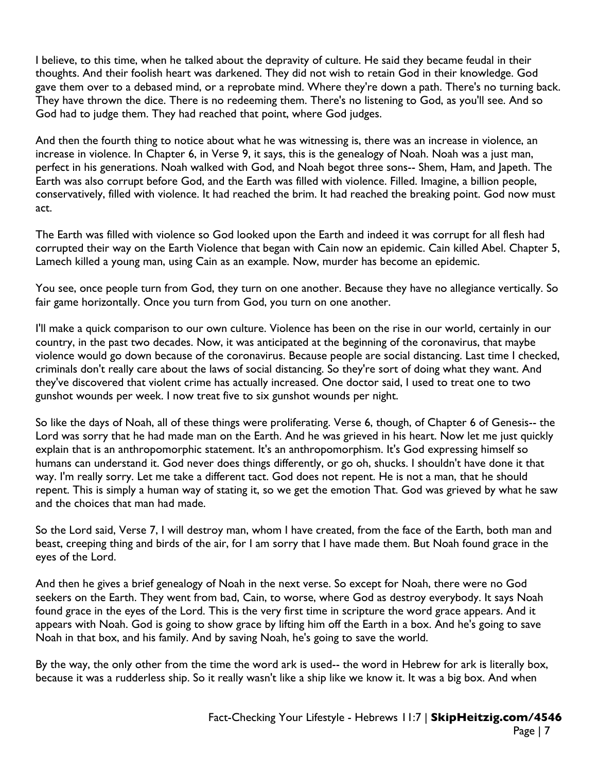I believe, to this time, when he talked about the depravity of culture. He said they became feudal in their thoughts. And their foolish heart was darkened. They did not wish to retain God in their knowledge. God gave them over to a debased mind, or a reprobate mind. Where they're down a path. There's no turning back. They have thrown the dice. There is no redeeming them. There's no listening to God, as you'll see. And so God had to judge them. They had reached that point, where God judges.

And then the fourth thing to notice about what he was witnessing is, there was an increase in violence, an increase in violence. In Chapter 6, in Verse 9, it says, this is the genealogy of Noah. Noah was a just man, perfect in his generations. Noah walked with God, and Noah begot three sons-- Shem, Ham, and Japeth. The Earth was also corrupt before God, and the Earth was filled with violence. Filled. Imagine, a billion people, conservatively, filled with violence. It had reached the brim. It had reached the breaking point. God now must act.

The Earth was filled with violence so God looked upon the Earth and indeed it was corrupt for all flesh had corrupted their way on the Earth Violence that began with Cain now an epidemic. Cain killed Abel. Chapter 5, Lamech killed a young man, using Cain as an example. Now, murder has become an epidemic.

You see, once people turn from God, they turn on one another. Because they have no allegiance vertically. So fair game horizontally. Once you turn from God, you turn on one another.

I'll make a quick comparison to our own culture. Violence has been on the rise in our world, certainly in our country, in the past two decades. Now, it was anticipated at the beginning of the coronavirus, that maybe violence would go down because of the coronavirus. Because people are social distancing. Last time I checked, criminals don't really care about the laws of social distancing. So they're sort of doing what they want. And they've discovered that violent crime has actually increased. One doctor said, I used to treat one to two gunshot wounds per week. I now treat five to six gunshot wounds per night.

So like the days of Noah, all of these things were proliferating. Verse 6, though, of Chapter 6 of Genesis-- the Lord was sorry that he had made man on the Earth. And he was grieved in his heart. Now let me just quickly explain that is an anthropomorphic statement. It's an anthropomorphism. It's God expressing himself so humans can understand it. God never does things differently, or go oh, shucks. I shouldn't have done it that way. I'm really sorry. Let me take a different tact. God does not repent. He is not a man, that he should repent. This is simply a human way of stating it, so we get the emotion That. God was grieved by what he saw and the choices that man had made.

So the Lord said, Verse 7, I will destroy man, whom I have created, from the face of the Earth, both man and beast, creeping thing and birds of the air, for I am sorry that I have made them. But Noah found grace in the eyes of the Lord.

And then he gives a brief genealogy of Noah in the next verse. So except for Noah, there were no God seekers on the Earth. They went from bad, Cain, to worse, where God as destroy everybody. It says Noah found grace in the eyes of the Lord. This is the very first time in scripture the word grace appears. And it appears with Noah. God is going to show grace by lifting him off the Earth in a box. And he's going to save Noah in that box, and his family. And by saving Noah, he's going to save the world.

By the way, the only other from the time the word ark is used-- the word in Hebrew for ark is literally box, because it was a rudderless ship. So it really wasn't like a ship like we know it. It was a big box. And when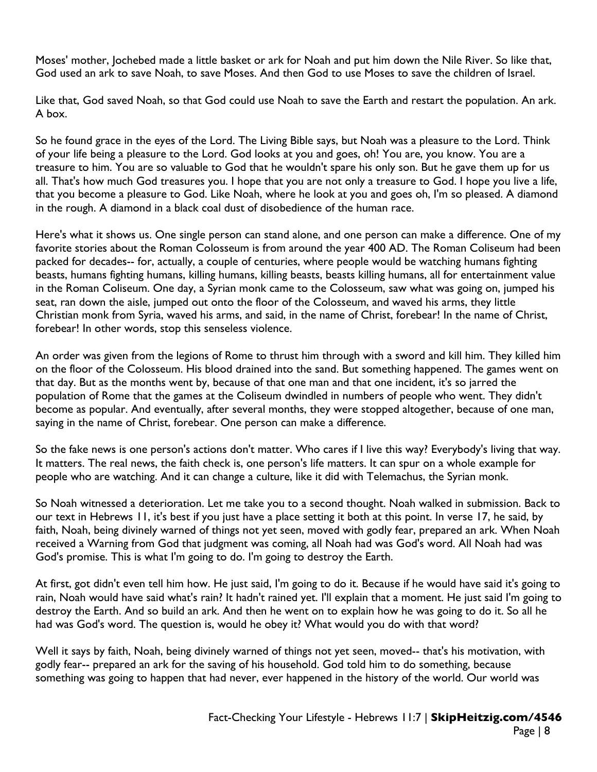Moses' mother, Jochebed made a little basket or ark for Noah and put him down the Nile River. So like that, God used an ark to save Noah, to save Moses. And then God to use Moses to save the children of Israel.

Like that, God saved Noah, so that God could use Noah to save the Earth and restart the population. An ark. A box.

So he found grace in the eyes of the Lord. The Living Bible says, but Noah was a pleasure to the Lord. Think of your life being a pleasure to the Lord. God looks at you and goes, oh! You are, you know. You are a treasure to him. You are so valuable to God that he wouldn't spare his only son. But he gave them up for us all. That's how much God treasures you. I hope that you are not only a treasure to God. I hope you live a life, that you become a pleasure to God. Like Noah, where he look at you and goes oh, I'm so pleased. A diamond in the rough. A diamond in a black coal dust of disobedience of the human race.

Here's what it shows us. One single person can stand alone, and one person can make a difference. One of my favorite stories about the Roman Colosseum is from around the year 400 AD. The Roman Coliseum had been packed for decades-- for, actually, a couple of centuries, where people would be watching humans fighting beasts, humans fighting humans, killing humans, killing beasts, beasts killing humans, all for entertainment value in the Roman Coliseum. One day, a Syrian monk came to the Colosseum, saw what was going on, jumped his seat, ran down the aisle, jumped out onto the floor of the Colosseum, and waved his arms, they little Christian monk from Syria, waved his arms, and said, in the name of Christ, forebear! In the name of Christ, forebear! In other words, stop this senseless violence.

An order was given from the legions of Rome to thrust him through with a sword and kill him. They killed him on the floor of the Colosseum. His blood drained into the sand. But something happened. The games went on that day. But as the months went by, because of that one man and that one incident, it's so jarred the population of Rome that the games at the Coliseum dwindled in numbers of people who went. They didn't become as popular. And eventually, after several months, they were stopped altogether, because of one man, saying in the name of Christ, forebear. One person can make a difference.

So the fake news is one person's actions don't matter. Who cares if I live this way? Everybody's living that way. It matters. The real news, the faith check is, one person's life matters. It can spur on a whole example for people who are watching. And it can change a culture, like it did with Telemachus, the Syrian monk.

So Noah witnessed a deterioration. Let me take you to a second thought. Noah walked in submission. Back to our text in Hebrews 11, it's best if you just have a place setting it both at this point. In verse 17, he said, by faith, Noah, being divinely warned of things not yet seen, moved with godly fear, prepared an ark. When Noah received a Warning from God that judgment was coming, all Noah had was God's word. All Noah had was God's promise. This is what I'm going to do. I'm going to destroy the Earth.

At first, got didn't even tell him how. He just said, I'm going to do it. Because if he would have said it's going to rain, Noah would have said what's rain? It hadn't rained yet. I'll explain that a moment. He just said I'm going to destroy the Earth. And so build an ark. And then he went on to explain how he was going to do it. So all he had was God's word. The question is, would he obey it? What would you do with that word?

Well it says by faith, Noah, being divinely warned of things not yet seen, moved-- that's his motivation, with godly fear-- prepared an ark for the saving of his household. God told him to do something, because something was going to happen that had never, ever happened in the history of the world. Our world was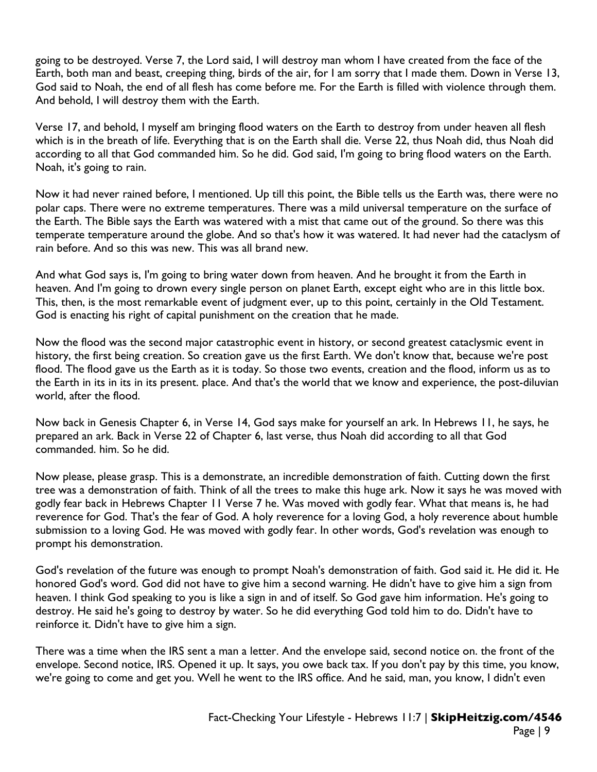going to be destroyed. Verse 7, the Lord said, I will destroy man whom I have created from the face of the Earth, both man and beast, creeping thing, birds of the air, for I am sorry that I made them. Down in Verse 13, God said to Noah, the end of all flesh has come before me. For the Earth is filled with violence through them. And behold, I will destroy them with the Earth.

Verse 17, and behold, I myself am bringing flood waters on the Earth to destroy from under heaven all flesh which is in the breath of life. Everything that is on the Earth shall die. Verse 22, thus Noah did, thus Noah did according to all that God commanded him. So he did. God said, I'm going to bring flood waters on the Earth. Noah, it's going to rain.

Now it had never rained before, I mentioned. Up till this point, the Bible tells us the Earth was, there were no polar caps. There were no extreme temperatures. There was a mild universal temperature on the surface of the Earth. The Bible says the Earth was watered with a mist that came out of the ground. So there was this temperate temperature around the globe. And so that's how it was watered. It had never had the cataclysm of rain before. And so this was new. This was all brand new.

And what God says is, I'm going to bring water down from heaven. And he brought it from the Earth in heaven. And I'm going to drown every single person on planet Earth, except eight who are in this little box. This, then, is the most remarkable event of judgment ever, up to this point, certainly in the Old Testament. God is enacting his right of capital punishment on the creation that he made.

Now the flood was the second major catastrophic event in history, or second greatest cataclysmic event in history, the first being creation. So creation gave us the first Earth. We don't know that, because we're post flood. The flood gave us the Earth as it is today. So those two events, creation and the flood, inform us as to the Earth in its in its in its present. place. And that's the world that we know and experience, the post-diluvian world, after the flood.

Now back in Genesis Chapter 6, in Verse 14, God says make for yourself an ark. In Hebrews 11, he says, he prepared an ark. Back in Verse 22 of Chapter 6, last verse, thus Noah did according to all that God commanded. him. So he did.

Now please, please grasp. This is a demonstrate, an incredible demonstration of faith. Cutting down the first tree was a demonstration of faith. Think of all the trees to make this huge ark. Now it says he was moved with godly fear back in Hebrews Chapter 11 Verse 7 he. Was moved with godly fear. What that means is, he had reverence for God. That's the fear of God. A holy reverence for a loving God, a holy reverence about humble submission to a loving God. He was moved with godly fear. In other words, God's revelation was enough to prompt his demonstration.

God's revelation of the future was enough to prompt Noah's demonstration of faith. God said it. He did it. He honored God's word. God did not have to give him a second warning. He didn't have to give him a sign from heaven. I think God speaking to you is like a sign in and of itself. So God gave him information. He's going to destroy. He said he's going to destroy by water. So he did everything God told him to do. Didn't have to reinforce it. Didn't have to give him a sign.

There was a time when the IRS sent a man a letter. And the envelope said, second notice on. the front of the envelope. Second notice, IRS. Opened it up. It says, you owe back tax. If you don't pay by this time, you know, we're going to come and get you. Well he went to the IRS office. And he said, man, you know, I didn't even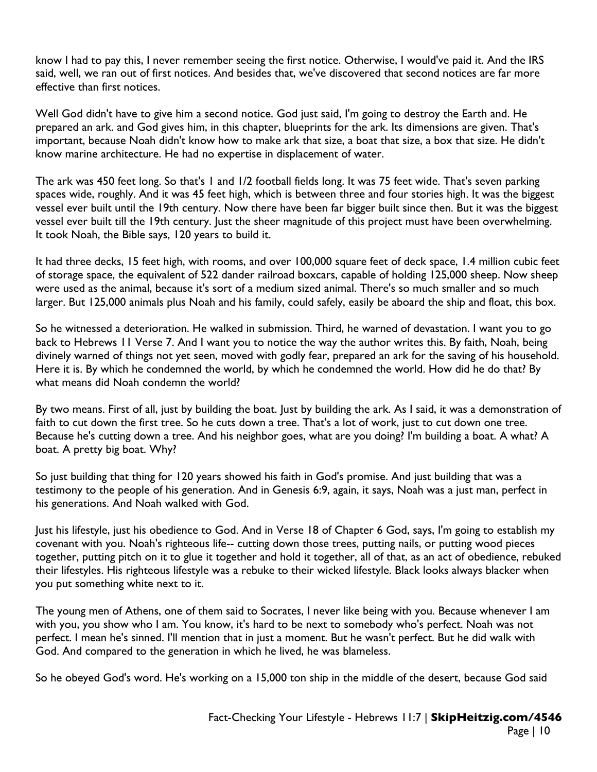know I had to pay this, I never remember seeing the first notice. Otherwise, I would've paid it. And the IRS said, well, we ran out of first notices. And besides that, we've discovered that second notices are far more effective than first notices.

Well God didn't have to give him a second notice. God just said, I'm going to destroy the Earth and. He prepared an ark. and God gives him, in this chapter, blueprints for the ark. Its dimensions are given. That's important, because Noah didn't know how to make ark that size, a boat that size, a box that size. He didn't know marine architecture. He had no expertise in displacement of water.

The ark was 450 feet long. So that's 1 and 1/2 football fields long. It was 75 feet wide. That's seven parking spaces wide, roughly. And it was 45 feet high, which is between three and four stories high. It was the biggest vessel ever built until the 19th century. Now there have been far bigger built since then. But it was the biggest vessel ever built till the 19th century. Just the sheer magnitude of this project must have been overwhelming. It took Noah, the Bible says, 120 years to build it.

It had three decks, 15 feet high, with rooms, and over 100,000 square feet of deck space, 1.4 million cubic feet of storage space, the equivalent of 522 dander railroad boxcars, capable of holding 125,000 sheep. Now sheep were used as the animal, because it's sort of a medium sized animal. There's so much smaller and so much larger. But 125,000 animals plus Noah and his family, could safely, easily be aboard the ship and float, this box.

So he witnessed a deterioration. He walked in submission. Third, he warned of devastation. I want you to go back to Hebrews 11 Verse 7. And I want you to notice the way the author writes this. By faith, Noah, being divinely warned of things not yet seen, moved with godly fear, prepared an ark for the saving of his household. Here it is. By which he condemned the world, by which he condemned the world. How did he do that? By what means did Noah condemn the world?

By two means. First of all, just by building the boat. Just by building the ark. As I said, it was a demonstration of faith to cut down the first tree. So he cuts down a tree. That's a lot of work, just to cut down one tree. Because he's cutting down a tree. And his neighbor goes, what are you doing? I'm building a boat. A what? A boat. A pretty big boat. Why?

So just building that thing for 120 years showed his faith in God's promise. And just building that was a testimony to the people of his generation. And in Genesis 6:9, again, it says, Noah was a just man, perfect in his generations. And Noah walked with God.

Just his lifestyle, just his obedience to God. And in Verse 18 of Chapter 6 God, says, I'm going to establish my covenant with you. Noah's righteous life-- cutting down those trees, putting nails, or putting wood pieces together, putting pitch on it to glue it together and hold it together, all of that, as an act of obedience, rebuked their lifestyles. His righteous lifestyle was a rebuke to their wicked lifestyle. Black looks always blacker when you put something white next to it.

The young men of Athens, one of them said to Socrates, I never like being with you. Because whenever I am with you, you show who I am. You know, it's hard to be next to somebody who's perfect. Noah was not perfect. I mean he's sinned. I'll mention that in just a moment. But he wasn't perfect. But he did walk with God. And compared to the generation in which he lived, he was blameless.

So he obeyed God's word. He's working on a 15,000 ton ship in the middle of the desert, because God said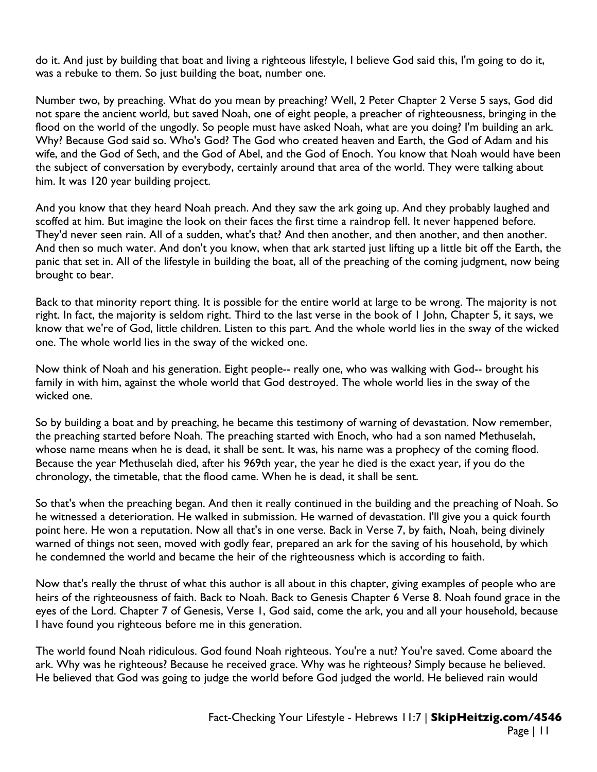do it. And just by building that boat and living a righteous lifestyle, I believe God said this, I'm going to do it, was a rebuke to them. So just building the boat, number one.

Number two, by preaching. What do you mean by preaching? Well, 2 Peter Chapter 2 Verse 5 says, God did not spare the ancient world, but saved Noah, one of eight people, a preacher of righteousness, bringing in the flood on the world of the ungodly. So people must have asked Noah, what are you doing? I'm building an ark. Why? Because God said so. Who's God? The God who created heaven and Earth, the God of Adam and his wife, and the God of Seth, and the God of Abel, and the God of Enoch. You know that Noah would have been the subject of conversation by everybody, certainly around that area of the world. They were talking about him. It was 120 year building project.

And you know that they heard Noah preach. And they saw the ark going up. And they probably laughed and scoffed at him. But imagine the look on their faces the first time a raindrop fell. It never happened before. They'd never seen rain. All of a sudden, what's that? And then another, and then another, and then another. And then so much water. And don't you know, when that ark started just lifting up a little bit off the Earth, the panic that set in. All of the lifestyle in building the boat, all of the preaching of the coming judgment, now being brought to bear.

Back to that minority report thing. It is possible for the entire world at large to be wrong. The majority is not right. In fact, the majority is seldom right. Third to the last verse in the book of 1 John, Chapter 5, it says, we know that we're of God, little children. Listen to this part. And the whole world lies in the sway of the wicked one. The whole world lies in the sway of the wicked one.

Now think of Noah and his generation. Eight people-- really one, who was walking with God-- brought his family in with him, against the whole world that God destroyed. The whole world lies in the sway of the wicked one.

So by building a boat and by preaching, he became this testimony of warning of devastation. Now remember, the preaching started before Noah. The preaching started with Enoch, who had a son named Methuselah, whose name means when he is dead, it shall be sent. It was, his name was a prophecy of the coming flood. Because the year Methuselah died, after his 969th year, the year he died is the exact year, if you do the chronology, the timetable, that the flood came. When he is dead, it shall be sent.

So that's when the preaching began. And then it really continued in the building and the preaching of Noah. So he witnessed a deterioration. He walked in submission. He warned of devastation. I'll give you a quick fourth point here. He won a reputation. Now all that's in one verse. Back in Verse 7, by faith, Noah, being divinely warned of things not seen, moved with godly fear, prepared an ark for the saving of his household, by which he condemned the world and became the heir of the righteousness which is according to faith.

Now that's really the thrust of what this author is all about in this chapter, giving examples of people who are heirs of the righteousness of faith. Back to Noah. Back to Genesis Chapter 6 Verse 8. Noah found grace in the eyes of the Lord. Chapter 7 of Genesis, Verse 1, God said, come the ark, you and all your household, because I have found you righteous before me in this generation.

The world found Noah ridiculous. God found Noah righteous. You're a nut? You're saved. Come aboard the ark. Why was he righteous? Because he received grace. Why was he righteous? Simply because he believed. He believed that God was going to judge the world before God judged the world. He believed rain would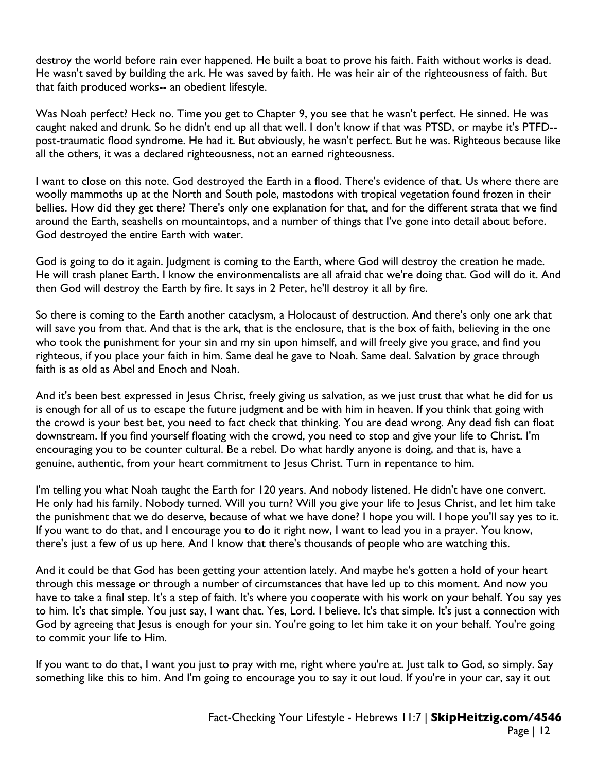destroy the world before rain ever happened. He built a boat to prove his faith. Faith without works is dead. He wasn't saved by building the ark. He was saved by faith. He was heir air of the righteousness of faith. But that faith produced works-- an obedient lifestyle.

Was Noah perfect? Heck no. Time you get to Chapter 9, you see that he wasn't perfect. He sinned. He was caught naked and drunk. So he didn't end up all that well. I don't know if that was PTSD, or maybe it's PTFD- post-traumatic flood syndrome. He had it. But obviously, he wasn't perfect. But he was. Righteous because like all the others, it was a declared righteousness, not an earned righteousness.

I want to close on this note. God destroyed the Earth in a flood. There's evidence of that. Us where there are woolly mammoths up at the North and South pole, mastodons with tropical vegetation found frozen in their bellies. How did they get there? There's only one explanation for that, and for the different strata that we find around the Earth, seashells on mountaintops, and a number of things that I've gone into detail about before. God destroyed the entire Earth with water.

God is going to do it again. Judgment is coming to the Earth, where God will destroy the creation he made. He will trash planet Earth. I know the environmentalists are all afraid that we're doing that. God will do it. And then God will destroy the Earth by fire. It says in 2 Peter, he'll destroy it all by fire.

So there is coming to the Earth another cataclysm, a Holocaust of destruction. And there's only one ark that will save you from that. And that is the ark, that is the enclosure, that is the box of faith, believing in the one who took the punishment for your sin and my sin upon himself, and will freely give you grace, and find you righteous, if you place your faith in him. Same deal he gave to Noah. Same deal. Salvation by grace through faith is as old as Abel and Enoch and Noah.

And it's been best expressed in Jesus Christ, freely giving us salvation, as we just trust that what he did for us is enough for all of us to escape the future judgment and be with him in heaven. If you think that going with the crowd is your best bet, you need to fact check that thinking. You are dead wrong. Any dead fish can float downstream. If you find yourself floating with the crowd, you need to stop and give your life to Christ. I'm encouraging you to be counter cultural. Be a rebel. Do what hardly anyone is doing, and that is, have a genuine, authentic, from your heart commitment to Jesus Christ. Turn in repentance to him.

I'm telling you what Noah taught the Earth for 120 years. And nobody listened. He didn't have one convert. He only had his family. Nobody turned. Will you turn? Will you give your life to Jesus Christ, and let him take the punishment that we do deserve, because of what we have done? I hope you will. I hope you'll say yes to it. If you want to do that, and I encourage you to do it right now, I want to lead you in a prayer. You know, there's just a few of us up here. And I know that there's thousands of people who are watching this.

And it could be that God has been getting your attention lately. And maybe he's gotten a hold of your heart through this message or through a number of circumstances that have led up to this moment. And now you have to take a final step. It's a step of faith. It's where you cooperate with his work on your behalf. You say yes to him. It's that simple. You just say, I want that. Yes, Lord. I believe. It's that simple. It's just a connection with God by agreeing that Jesus is enough for your sin. You're going to let him take it on your behalf. You're going to commit your life to Him.

If you want to do that, I want you just to pray with me, right where you're at. Just talk to God, so simply. Say something like this to him. And I'm going to encourage you to say it out loud. If you're in your car, say it out